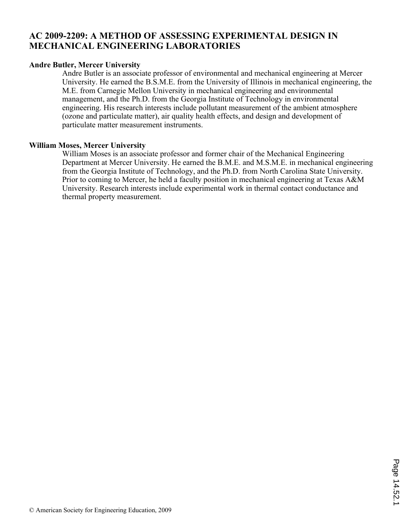# **AC 2009-2209: A METHOD OF ASSESSING EXPERIMENTAL DESIGN IN MECHANICAL ENGINEERING LABORATORIES**

## **Andre Butler, Mercer University**

Andre Butler is an associate professor of environmental and mechanical engineering at Mercer University. He earned the B.S.M.E. from the University of Illinois in mechanical engineering, the M.E. from Carnegie Mellon University in mechanical engineering and environmental management, and the Ph.D. from the Georgia Institute of Technology in environmental engineering. His research interests include pollutant measurement of the ambient atmosphere (ozone and particulate matter), air quality health effects, and design and development of particulate matter measurement instruments.

## **William Moses, Mercer University**

William Moses is an associate professor and former chair of the Mechanical Engineering Department at Mercer University. He earned the B.M.E. and M.S.M.E. in mechanical engineering from the Georgia Institute of Technology, and the Ph.D. from North Carolina State University. Prior to coming to Mercer, he held a faculty position in mechanical engineering at Texas A&M University. Research interests include experimental work in thermal contact conductance and thermal property measurement.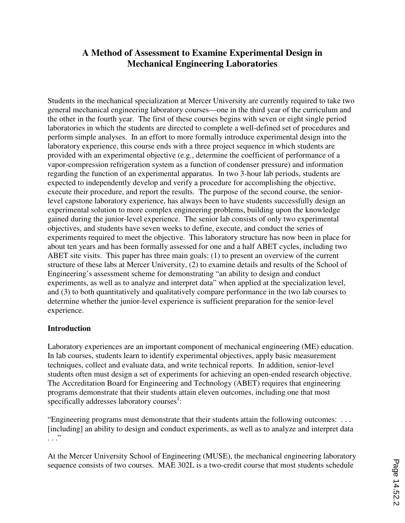# **A Method of Assessment to Examine Experimental Design in Mechanical Engineering Laboratories**

Students in the mechanical specialization at Mercer University are currently required to take two general mechanical engineering laboratory courses—one in the third year of the curriculum and the other in the fourth year. The first of these courses begins with seven or eight single period laboratories in which the students are directed to complete a well-defined set of procedures and perform simple analyses. In an effort to more formally introduce experimental design into the laboratory experience, this course ends with a three project sequence in which students are provided with an experimental objective (e.g., determine the coefficient of performance of a vapor-compression refrigeration system as a function of condenser pressure) and information regarding the function of an experimental apparatus. In two 3-hour lab periods, students are expected to independently develop and verify a procedure for accomplishing the objective, execute their procedure, and report the results. The purpose of the second course, the seniorlevel capstone laboratory experience, has always been to have students successfully design an experimental solution to more complex engineering problems, building upon the knowledge gained during the junior-level experience. The senior lab consists of only two experimental objectives, and students have seven weeks to define, execute, and conduct the series of experiments required to meet the objective. This laboratory structure has now been in place for about ten years and has been formally assessed for one and a half ABET cycles, including two ABET site visits. This paper has three main goals: (1) to present an overview of the current structure of these labs at Mercer University, (2) to examine details and results of the School of Engineering's assessment scheme for demonstrating "an ability to design and conduct experiments, as well as to analyze and interpret data" when applied at the specialization level, and (3) to both quantitatively and qualitatively compare performance in the two lab courses to determine whether the junior-level experience is sufficient preparation for the senior-level experience.

## **Introduction**

Laboratory experiences are an important component of mechanical engineering (ME) education. In lab courses, students learn to identify experimental objectives, apply basic measurement techniques, collect and evaluate data, and write technical reports. In addition, senior-level students often must design a set of experiments for achieving an open-ended research objective. The Accreditation Board for Engineering and Technology (ABET) requires that engineering programs demonstrate that their students attain eleven outcomes, including one that most specifically addresses laboratory courses $<sup>1</sup>$ :</sup>

"Engineering programs must demonstrate that their students attain the following outcomes: . . . [including] an ability to design and conduct experiments, as well as to analyze and interpret data  $\cdot$  . . .  $\cdot$ 

At the Mercer University School of Engineering (MUSE), the mechanical engineering laboratory sequence consists of two courses. MAE 302L is a two-credit course that most students schedule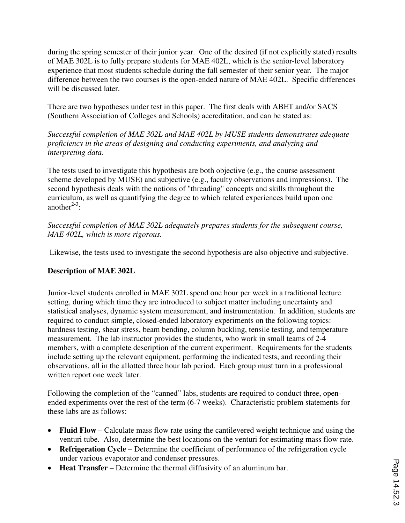during the spring semester of their junior year. One of the desired (if not explicitly stated) results of MAE 302L is to fully prepare students for MAE 402L, which is the senior-level laboratory experience that most students schedule during the fall semester of their senior year. The major difference between the two courses is the open-ended nature of MAE 402L. Specific differences will be discussed later.

There are two hypotheses under test in this paper. The first deals with ABET and/or SACS (Southern Association of Colleges and Schools) accreditation, and can be stated as:

*Successful completion of MAE 302L and MAE 402L by MUSE students demonstrates adequate proficiency in the areas of designing and conducting experiments, and analyzing and interpreting data.* 

The tests used to investigate this hypothesis are both objective (e.g., the course assessment scheme developed by MUSE) and subjective (e.g., faculty observations and impressions). The second hypothesis deals with the notions of "threading" concepts and skills throughout the curriculum, as well as quantifying the degree to which related experiences build upon one another<sup> $2-3$ </sup>:

*Successful completion of MAE 302L adequately prepares students for the subsequent course, MAE 402L, which is more rigorous.* 

Likewise, the tests used to investigate the second hypothesis are also objective and subjective.

# **Description of MAE 302L**

Junior-level students enrolled in MAE 302L spend one hour per week in a traditional lecture setting, during which time they are introduced to subject matter including uncertainty and statistical analyses, dynamic system measurement, and instrumentation. In addition, students are required to conduct simple, closed-ended laboratory experiments on the following topics: hardness testing, shear stress, beam bending, column buckling, tensile testing, and temperature measurement. The lab instructor provides the students, who work in small teams of 2-4 members, with a complete description of the current experiment. Requirements for the students include setting up the relevant equipment, performing the indicated tests, and recording their observations, all in the allotted three hour lab period. Each group must turn in a professional written report one week later.

Following the completion of the "canned" labs, students are required to conduct three, openended experiments over the rest of the term (6-7 weeks). Characteristic problem statements for these labs are as follows:

- **Fluid Flow** Calculate mass flow rate using the cantilevered weight technique and using the venturi tube. Also, determine the best locations on the venturi for estimating mass flow rate.
- **Refrigeration Cycle** Determine the coefficient of performance of the refrigeration cycle under various evaporator and condenser pressures.
- ≠ **Heat Transfer** Determine the thermal diffusivity of an aluminum bar.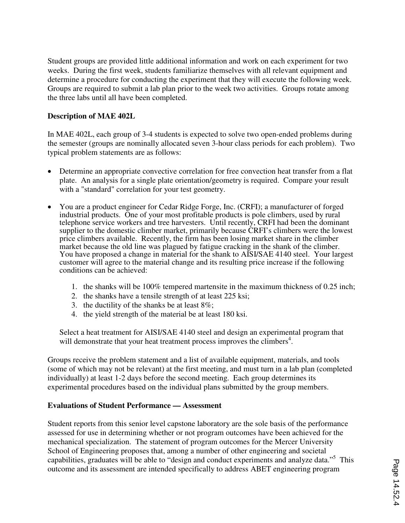Student groups are provided little additional information and work on each experiment for two weeks. During the first week, students familiarize themselves with all relevant equipment and determine a procedure for conducting the experiment that they will execute the following week. Groups are required to submit a lab plan prior to the week two activities. Groups rotate among the three labs until all have been completed.

## **Description of MAE 402L**

In MAE 402L, each group of 3-4 students is expected to solve two open-ended problems during the semester (groups are nominally allocated seven 3-hour class periods for each problem). Two typical problem statements are as follows:

- Determine an appropriate convective correlation for free convection heat transfer from a flat plate. An analysis for a single plate orientation/geometry is required. Compare your result with a "standard" correlation for your test geometry.
- ≠ You are a product engineer for Cedar Ridge Forge, Inc. (CRFI); a manufacturer of forged industrial products. One of your most profitable products is pole climbers, used by rural telephone service workers and tree harvesters. Until recently, CRFI had been the dominant supplier to the domestic climber market, primarily because CRFI's climbers were the lowest price climbers available. Recently, the firm has been losing market share in the climber market because the old line was plagued by fatigue cracking in the shank of the climber. You have proposed a change in material for the shank to AISI/SAE 4140 steel. Your largest customer will agree to the material change and its resulting price increase if the following conditions can be achieved:
	- 1. the shanks will be 100% tempered martensite in the maximum thickness of 0.25 inch;
	- 2. the shanks have a tensile strength of at least 225 ksi;
	- 3. the ductility of the shanks be at least 8%;
	- 4. the yield strength of the material be at least 180 ksi.

Select a heat treatment for AISI/SAE 4140 steel and design an experimental program that will demonstrate that your heat treatment process improves the climbers<sup>4</sup>.

Groups receive the problem statement and a list of available equipment, materials, and tools (some of which may not be relevant) at the first meeting, and must turn in a lab plan (completed individually) at least 1-2 days before the second meeting. Each group determines its experimental procedures based on the individual plans submitted by the group members.

## **Evaluations of Student Performance — Assessment**

Student reports from this senior level capstone laboratory are the sole basis of the performance assessed for use in determining whether or not program outcomes have been achieved for the mechanical specialization. The statement of program outcomes for the Mercer University School of Engineering proposes that, among a number of other engineering and societal capabilities, graduates will be able to "design and conduct experiments and analyze data."<sup>5</sup> This outcome and its assessment are intended specifically to address ABET engineering program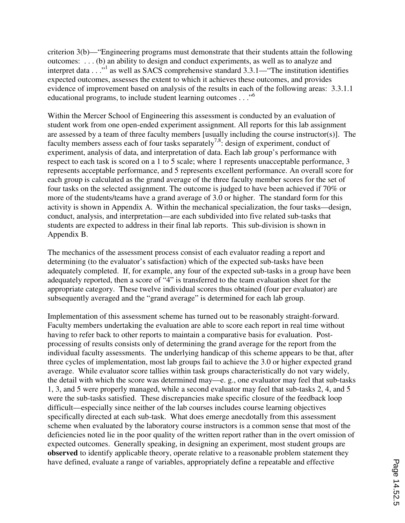criterion 3(b)—"Engineering programs must demonstrate that their students attain the following outcomes: . . . (b) an ability to design and conduct experiments, as well as to analyze and interpret data . . ."<sup>1</sup> as well as SACS comprehensive standard 3.3.1—"The institution identifies expected outcomes, assesses the extent to which it achieves these outcomes, and provides evidence of improvement based on analysis of the results in each of the following areas: 3.3.1.1 educational programs, to include student learning outcomes . . ."<sup>6</sup>

Within the Mercer School of Engineering this assessment is conducted by an evaluation of student work from one open-ended experiment assignment. All reports for this lab assignment are assessed by a team of three faculty members [usually including the course instructor(s)]. The faculty members assess each of four tasks separately<sup>7,8</sup>: design of experiment, conduct of experiment, analysis of data, and interpretation of data. Each lab group's performance with respect to each task is scored on a 1 to 5 scale; where 1 represents unacceptable performance, 3 represents acceptable performance, and 5 represents excellent performance. An overall score for each group is calculated as the grand average of the three faculty member scores for the set of four tasks on the selected assignment. The outcome is judged to have been achieved if 70% or more of the students/teams have a grand average of 3.0 or higher. The standard form for this activity is shown in Appendix A. Within the mechanical specialization, the four tasks—design, conduct, analysis, and interpretation—are each subdivided into five related sub-tasks that students are expected to address in their final lab reports. This sub-division is shown in Appendix B.

The mechanics of the assessment process consist of each evaluator reading a report and determining (to the evaluator's satisfaction) which of the expected sub-tasks have been adequately completed. If, for example, any four of the expected sub-tasks in a group have been adequately reported, then a score of "4" is transferred to the team evaluation sheet for the appropriate category. These twelve individual scores thus obtained (four per evaluator) are subsequently averaged and the "grand average" is determined for each lab group.

Implementation of this assessment scheme has turned out to be reasonably straight-forward. Faculty members undertaking the evaluation are able to score each report in real time without having to refer back to other reports to maintain a comparative basis for evaluation. Postprocessing of results consists only of determining the grand average for the report from the individual faculty assessments. The underlying handicap of this scheme appears to be that, after three cycles of implementation, most lab groups fail to achieve the 3.0 or higher expected grand average. While evaluator score tallies within task groups characteristically do not vary widely, the detail with which the score was determined may—e. g., one evaluator may feel that sub-tasks 1, 3, and 5 were properly managed, while a second evaluator may feel that sub-tasks 2, 4, and 5 were the sub-tasks satisfied. These discrepancies make specific closure of the feedback loop difficult—especially since neither of the lab courses includes course learning objectives specifically directed at each sub-task. What does emerge anecdotally from this assessment scheme when evaluated by the laboratory course instructors is a common sense that most of the deficiencies noted lie in the poor quality of the written report rather than in the overt omission of expected outcomes. Generally speaking, in designing an experiment, most student groups are **observed** to identify applicable theory, operate relative to a reasonable problem statement they have defined, evaluate a range of variables, appropriately define a repeatable and effective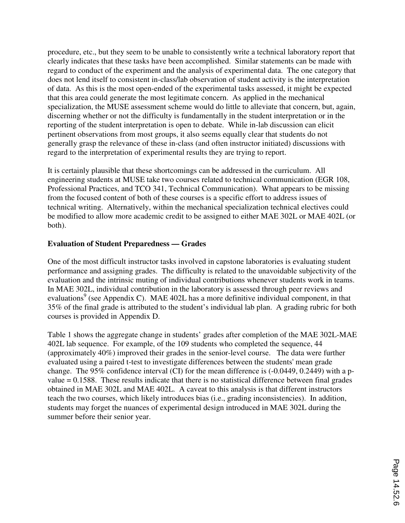procedure, etc., but they seem to be unable to consistently write a technical laboratory report that clearly indicates that these tasks have been accomplished. Similar statements can be made with regard to conduct of the experiment and the analysis of experimental data. The one category that does not lend itself to consistent in-class/lab observation of student activity is the interpretation of data. As this is the most open-ended of the experimental tasks assessed, it might be expected that this area could generate the most legitimate concern. As applied in the mechanical specialization, the MUSE assessment scheme would do little to alleviate that concern, but, again, discerning whether or not the difficulty is fundamentally in the student interpretation or in the reporting of the student interpretation is open to debate. While in-lab discussion can elicit pertinent observations from most groups, it also seems equally clear that students do not generally grasp the relevance of these in-class (and often instructor initiated) discussions with regard to the interpretation of experimental results they are trying to report.

It is certainly plausible that these shortcomings can be addressed in the curriculum. All engineering students at MUSE take two courses related to technical communication (EGR 108, Professional Practices, and TCO 341, Technical Communication). What appears to be missing from the focused content of both of these courses is a specific effort to address issues of technical writing. Alternatively, within the mechanical specialization technical electives could be modified to allow more academic credit to be assigned to either MAE 302L or MAE 402L (or both).

## **Evaluation of Student Preparedness — Grades**

One of the most difficult instructor tasks involved in capstone laboratories is evaluating student performance and assigning grades. The difficulty is related to the unavoidable subjectivity of the evaluation and the intrinsic muting of individual contributions whenever students work in teams. In MAE 302L, individual contribution in the laboratory is assessed through peer reviews and evaluations<sup>9</sup> (see Appendix C). MAE 402L has a more definitive individual component, in that 35% of the final grade is attributed to the student's individual lab plan. A grading rubric for both courses is provided in Appendix D.

Table 1 shows the aggregate change in students' grades after completion of the MAE 302L-MAE 402L lab sequence. For example, of the 109 students who completed the sequence, 44 (approximately 40%) improved their grades in the senior-level course. The data were further evaluated using a paired t-test to investigate differences between the students' mean grade change. The 95% confidence interval (CI) for the mean difference is (-0.0449, 0.2449) with a pvalue = 0.1588. These results indicate that there is no statistical difference between final grades obtained in MAE 302L and MAE 402L. A caveat to this analysis is that different instructors teach the two courses, which likely introduces bias (i.e., grading inconsistencies). In addition, students may forget the nuances of experimental design introduced in MAE 302L during the summer before their senior year.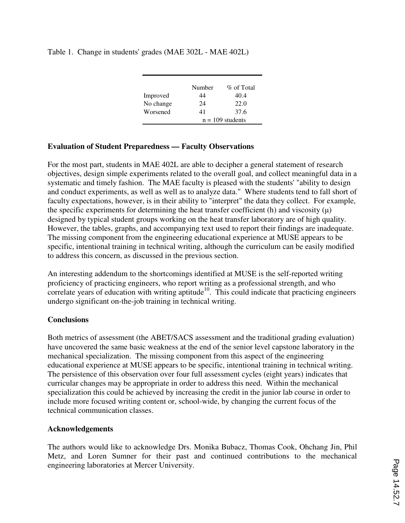Table 1. Change in students' grades (MAE 302L - MAE 402L)

|           | Number             | % of Total |
|-----------|--------------------|------------|
| Improved  | 44                 | 40.4       |
| No change | 24                 | 22.0       |
| Worsened  | 41                 | 37.6       |
|           | $n = 109$ students |            |

## **Evaluation of Student Preparedness — Faculty Observations**

For the most part, students in MAE 402L are able to decipher a general statement of research objectives, design simple experiments related to the overall goal, and collect meaningful data in a systematic and timely fashion. The MAE faculty is pleased with the students' "ability to design and conduct experiments, as well as well as to analyze data." Where students tend to fall short of faculty expectations, however, is in their ability to "interpret" the data they collect. For example, the specific experiments for determining the heat transfer coefficient (h) and viscosity  $(\mu)$ designed by typical student groups working on the heat transfer laboratory are of high quality. However, the tables, graphs, and accompanying text used to report their findings are inadequate. The missing component from the engineering educational experience at MUSE appears to be specific, intentional training in technical writing, although the curriculum can be easily modified to address this concern, as discussed in the previous section.

An interesting addendum to the shortcomings identified at MUSE is the self-reported writing proficiency of practicing engineers, who report writing as a professional strength, and who correlate years of education with writing aptitude<sup>10</sup>. This could indicate that practicing engineers undergo significant on-the-job training in technical writing.

## **Conclusions**

Both metrics of assessment (the ABET/SACS assessment and the traditional grading evaluation) have uncovered the same basic weakness at the end of the senior level capstone laboratory in the mechanical specialization. The missing component from this aspect of the engineering educational experience at MUSE appears to be specific, intentional training in technical writing. The persistence of this observation over four full assessment cycles (eight years) indicates that curricular changes may be appropriate in order to address this need. Within the mechanical specialization this could be achieved by increasing the credit in the junior lab course in order to include more focused writing content or, school-wide, by changing the current focus of the technical communication classes.

## **Acknowledgements**

The authors would like to acknowledge Drs. Monika Bubacz, Thomas Cook, Ohchang Jin, Phil Metz, and Loren Sumner for their past and continued contributions to the mechanical engineering laboratories at Mercer University.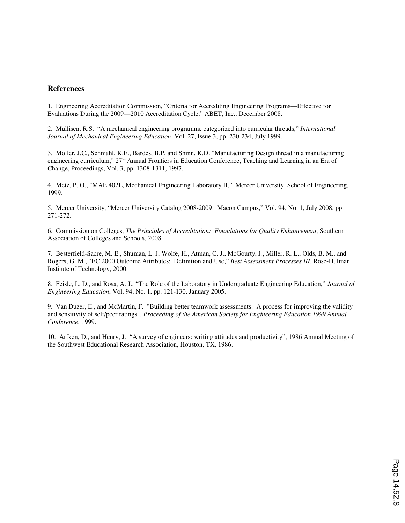#### **References**

1. Engineering Accreditation Commission, "Criteria for Accrediting Engineering Programs—Effective for Evaluations During the 2009—2010 Accreditation Cycle," ABET, Inc., December 2008.

2. Mullisen, R.S. "A mechanical engineering programme categorized into curricular threads," *International Journal of Mechanical Engineering Education*, Vol. 27, Issue 3, pp. 230-234, July 1999.

3. Moller, J.C., Schmahl, K.E., Bardes, B.P, and Shinn, K.D. "Manufacturing Design thread in a manufacturing engineering curriculum," 27<sup>th</sup> Annual Frontiers in Education Conference, Teaching and Learning in an Era of Change, Proceedings, Vol. 3, pp. 1308-1311, 1997.

4. Metz, P. O., "MAE 402L, Mechanical Engineering Laboratory II, " Mercer University, School of Engineering, 1999.

5. Mercer University, "Mercer University Catalog 2008-2009: Macon Campus," Vol. 94, No. 1, July 2008, pp. 271-272.

6. Commission on Colleges, *The Principles of Accreditation: Foundations for Quality Enhancement*, Southern Association of Colleges and Schools, 2008.

7. Besterfield-Sacre, M. E., Shuman, L. J, Wolfe, H., Atman, C. J., McGourty, J., Miller, R. L., Olds, B. M., and Rogers, G. M., "EC 2000 Outcome Attributes: Definition and Use," *Best Assessment Processes III*, Rose-Hulman Institute of Technology, 2000.

8. Feisle, L. D., and Rosa, A. J., "The Role of the Laboratory in Undergraduate Engineering Education," *Journal of Engineering Education*, Vol. 94, No. 1, pp. 121-130, January 2005.

9. Van Duzer, E., and McMartin, F. "Building better teamwork assessments: A process for improving the validity and sensitivity of self/peer ratings", *Proceeding of the American Society for Engineering Education 1999 Annual Conference*, 1999.

10. Arfken, D., and Henry, J. "A survey of engineers: writing attitudes and productivity", 1986 Annual Meeting of the Southwest Educational Research Association, Houston, TX, 1986.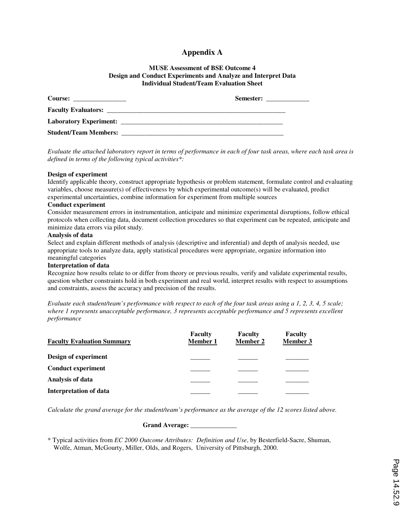### **Appendix A**

#### **MUSE Assessment of BSE Outcome 4 Design and Conduct Experiments and Analyze and Interpret Data Individual Student/Team Evaluation Sheet**

|                              | Semester: |
|------------------------------|-----------|
|                              |           |
|                              |           |
| <b>Student/Team Members:</b> |           |

*Evaluate the attached laboratory report in terms of performance in each of four task areas, where each task area is defined in terms of the following typical activities\*:* 

#### **Design of experiment**

Identify applicable theory, construct appropriate hypothesis or problem statement, formulate control and evaluating variables, choose measure(s) of effectiveness by which experimental outcome(s) will be evaluated, predict experimental uncertainties, combine information for experiment from multiple sources

#### **Conduct experiment**

Consider measurement errors in instrumentation, anticipate and minimize experimental disruptions, follow ethical protocols when collecting data, document collection procedures so that experiment can be repeated, anticipate and minimize data errors via pilot study.

#### **Analysis of data**

Select and explain different methods of analysis (descriptive and inferential) and depth of analysis needed, use appropriate tools to analyze data, apply statistical procedures were appropriate, organize information into meaningful categories

#### **Interpretation of data**

Recognize how results relate to or differ from theory or previous results, verify and validate experimental results, question whether constraints hold in both experiment and real world, interpret results with respect to assumptions and constraints, assess the accuracy and precision of the results.

*Evaluate each student/team's performance with respect to each of the four task areas using a 1, 2, 3, 4, 5 scale; where 1 represents unacceptable performance, 3 represents acceptable performance and 5 represents excellent performance* 

| <b>Faculty Evaluation Summary</b> | <b>Faculty</b><br><b>Member 1</b> | <b>Faculty</b><br><b>Member 2</b> | <b>Faculty</b><br><b>Member 3</b> |
|-----------------------------------|-----------------------------------|-----------------------------------|-----------------------------------|
| Design of experiment              |                                   |                                   |                                   |
| <b>Conduct experiment</b>         |                                   |                                   |                                   |
| Analysis of data                  |                                   |                                   |                                   |
| <b>Interpretation of data</b>     |                                   |                                   |                                   |

*Calculate the grand average for the student/team's performance as the average of the 12 scores listed above.* 

 **Grand Average: \_\_\_\_\_\_\_\_\_\_\_\_\_\_** 

\* Typical activities from *EC 2000 Outcome Attributes: Definition and Use*, by Besterfield-Sacre, Shuman, Wolfe, Atman, McGourty, Miller, Olds, and Rogers, University of Pittsburgh, 2000.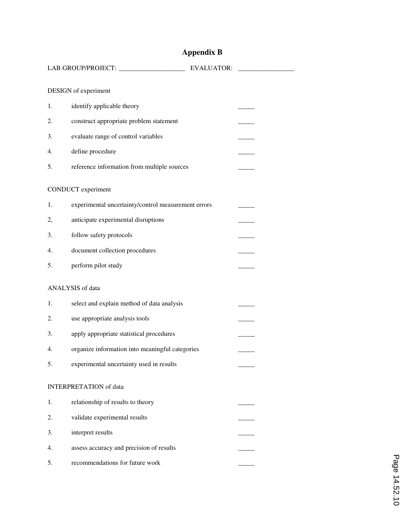# **Appendix B**

|    |                                                     | <b>EVALUATOR:</b> |  |  |  |
|----|-----------------------------------------------------|-------------------|--|--|--|
|    | DESIGN of experiment                                |                   |  |  |  |
| 1. | identify applicable theory                          |                   |  |  |  |
| 2. | construct appropriate problem statement             |                   |  |  |  |
| 3. | evaluate range of control variables                 |                   |  |  |  |
| 4. | define procedure                                    |                   |  |  |  |
| 5. | reference information from multiple sources         |                   |  |  |  |
|    | CONDUCT experiment                                  |                   |  |  |  |
| 1. | experimental uncertainty/control measurement errors |                   |  |  |  |
| 2, | anticipate experimental disruptions                 |                   |  |  |  |
| 3. | follow safety protocols                             |                   |  |  |  |
| 4. | document collection procedures                      |                   |  |  |  |
| 5. | perform pilot study                                 |                   |  |  |  |
|    | ANALYSIS of data                                    |                   |  |  |  |
| 1. | select and explain method of data analysis          |                   |  |  |  |
| 2. | use appropriate analysis tools                      |                   |  |  |  |
| 3. | apply appropriate statistical procedures            |                   |  |  |  |
| 4. | organize information into meaningful categories     |                   |  |  |  |
| 5. | experimental uncertainty used in results            |                   |  |  |  |
|    | <b>INTERPRETATION</b> of data                       |                   |  |  |  |
| 1. | relationship of results to theory                   |                   |  |  |  |
| 2. | validate experimental results                       |                   |  |  |  |
| 3. | interpret results                                   |                   |  |  |  |
| 4. | assess accuracy and precision of results            |                   |  |  |  |
| 5. | recommendations for future work                     |                   |  |  |  |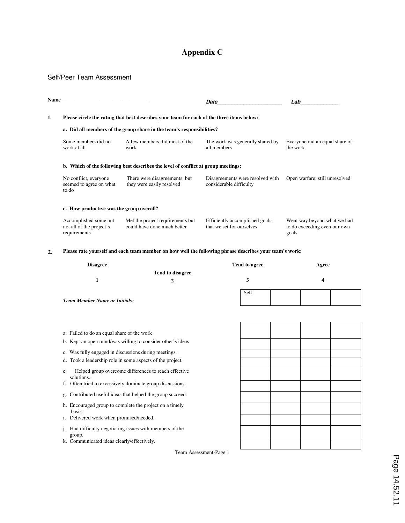## **Appendix C**

#### Self/Peer Team Assessment

| Name                                                                                            |                                                                                   |                                                                       | Date                                                        | Lab                                                                  |  |
|-------------------------------------------------------------------------------------------------|-----------------------------------------------------------------------------------|-----------------------------------------------------------------------|-------------------------------------------------------------|----------------------------------------------------------------------|--|
| 1.<br>Please circle the rating that best describes your team for each of the three items below: |                                                                                   |                                                                       |                                                             |                                                                      |  |
|                                                                                                 |                                                                                   | a. Did all members of the group share in the team's responsibilities? |                                                             |                                                                      |  |
|                                                                                                 | Some members did no<br>work at all                                                | A few members did most of the<br>work                                 | The work was generally shared by<br>all members             | Everyone did an equal share of<br>the work                           |  |
|                                                                                                 | b. Which of the following best describes the level of conflict at group meetings: |                                                                       |                                                             |                                                                      |  |
|                                                                                                 | No conflict, everyone<br>seemed to agree on what<br>to do                         | There were disagreements, but<br>they were easily resolved            | Disagreements were resolved with<br>considerable difficulty | Open warfare: still unresolved                                       |  |
|                                                                                                 | c. How productive was the group overall?                                          |                                                                       |                                                             |                                                                      |  |
|                                                                                                 | Accomplished some but<br>not all of the project's<br>requirements                 | Met the project requirements but<br>could have done much better       | Efficiently accomplished goals<br>that we set for ourselves | Went way beyond what we had<br>to do exceeding even our own<br>goals |  |

#### **2. Please rate yourself and each team member on how well the following phrase describes your team's work:**

| <b>Disagree</b>                      |                  | Tend to agree | Agree |
|--------------------------------------|------------------|---------------|-------|
|                                      | Tend to disagree |               |       |
|                                      |                  |               |       |
|                                      |                  |               |       |
|                                      |                  | Self:         |       |
| <b>Team Member Name or Initials:</b> |                  |               |       |

- a. Failed to do an equal share of the work
- b. Kept an open mind/was willing to consider other's ideas
- c. Was fully engaged in discussions during meetings.
- d. Took a leadership role in some aspects of the project.
- e. Helped group overcome differences to reach effective solutions.
- f. Often tried to excessively dominate group discussions.
- g. Contributed useful ideas that helped the group succeed.
- h. Encouraged group to complete the project on a timely basis.
- i. Delivered work when promised/needed.
- j. Had difficulty negotiating issues with members of the group.
- k. Communicated ideas clearly/effectively.

Team Assessment-Page 1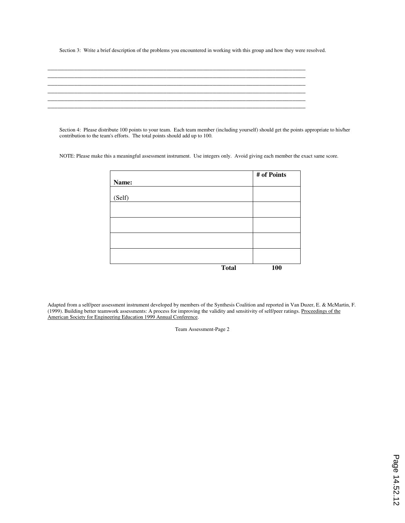Section 3: Write a brief description of the problems you encountered in working with this group and how they were resolved.

Section 4: Please distribute 100 points to your team. Each team member (including yourself) should get the points appropriate to his/her contribution to the team's efforts. The total points should add up to 100.

NOTE: Please make this a meaningful assessment instrument. Use integers only. Avoid giving each member the exact same score.

|        |              | # of Points |
|--------|--------------|-------------|
| Name:  |              |             |
|        |              |             |
| (Self) |              |             |
|        |              |             |
|        |              |             |
|        |              |             |
|        |              |             |
|        |              |             |
|        |              |             |
|        |              |             |
|        |              |             |
|        | <b>Total</b> | 100         |

Adapted from a self/peer assessment instrument developed by members of the Synthesis Coalition and reported in Van Duzer, E. & McMartin, F. (1999). Building better teamwork assessments: A process for improving the validity and sensitivity of self/peer ratings. Proceedings of the American Society for Engineering Education 1999 Annual Conference.

Team Assessment-Page 2